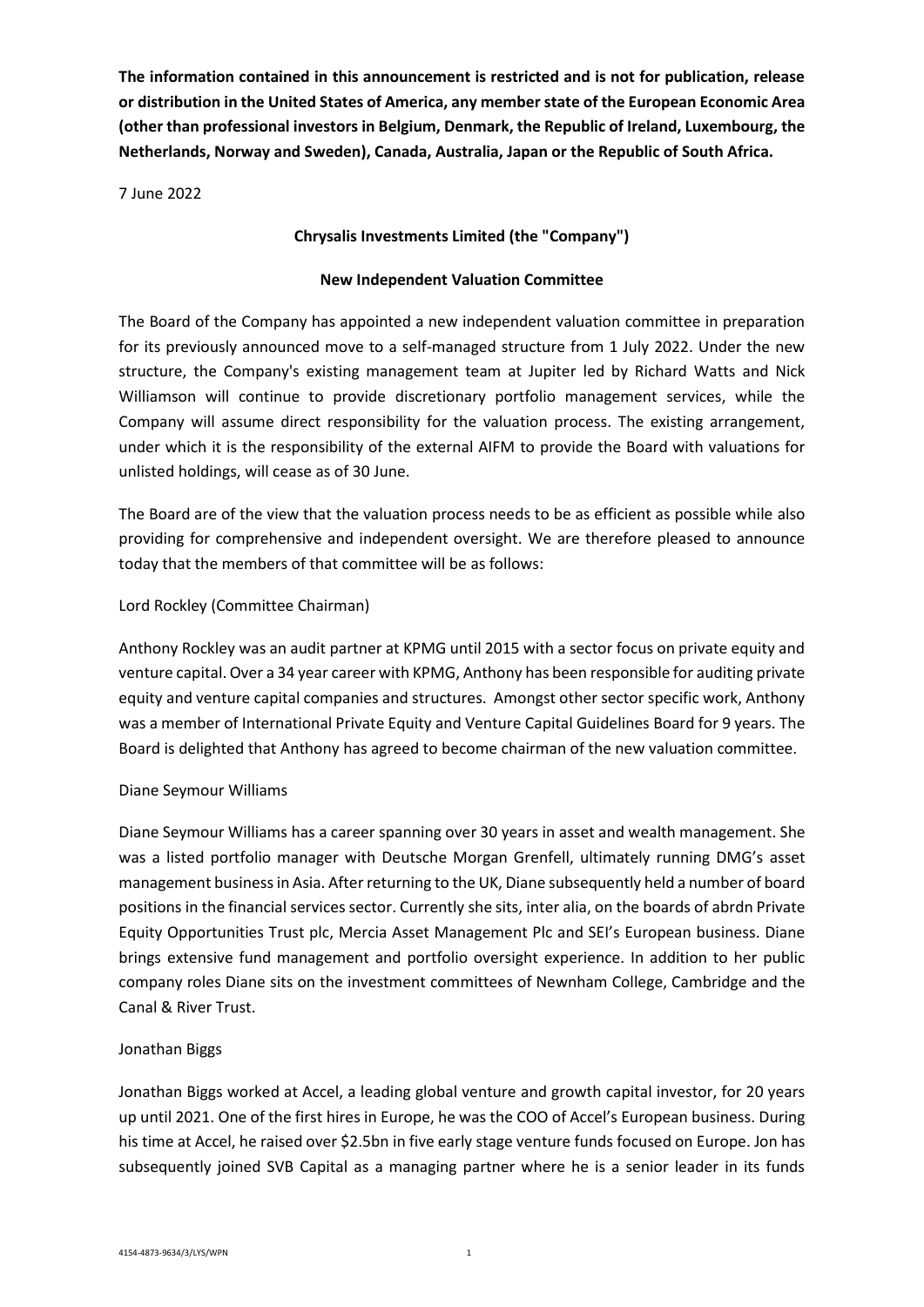**The information contained in this announcement is restricted and is not for publication, release or distribution in the United States of America, any member state of the European Economic Area (other than professional investors in Belgium, Denmark, the Republic of Ireland, Luxembourg, the Netherlands, Norway and Sweden), Canada, Australia, Japan or the Republic of South Africa.**

7 June 2022

# **Chrysalis Investments Limited (the "Company")**

## **New Independent Valuation Committee**

The Board of the Company has appointed a new independent valuation committee in preparation for its previously announced move to a self-managed structure from 1 July 2022. Under the new structure, the Company's existing management team at Jupiter led by Richard Watts and Nick Williamson will continue to provide discretionary portfolio management services, while the Company will assume direct responsibility for the valuation process. The existing arrangement, under which it is the responsibility of the external AIFM to provide the Board with valuations for unlisted holdings, will cease as of 30 June.

The Board are of the view that the valuation process needs to be as efficient as possible while also providing for comprehensive and independent oversight. We are therefore pleased to announce today that the members of that committee will be as follows:

## Lord Rockley (Committee Chairman)

Anthony Rockley was an audit partner at KPMG until 2015 with a sector focus on private equity and venture capital. Over a 34 year career with KPMG, Anthony has been responsible for auditing private equity and venture capital companies and structures. Amongst other sector specific work, Anthony was a member of International Private Equity and Venture Capital Guidelines Board for 9 years. The Board is delighted that Anthony has agreed to become chairman of the new valuation committee.

## Diane Seymour Williams

Diane Seymour Williams has a career spanning over 30 years in asset and wealth management. She was a listed portfolio manager with Deutsche Morgan Grenfell, ultimately running DMG's asset management business in Asia. Afterreturning to the UK, Diane subsequently held a number of board positions in the financial services sector. Currently she sits, inter alia, on the boards of abrdn Private Equity Opportunities Trust plc, Mercia Asset Management Plc and SEI's European business. Diane brings extensive fund management and portfolio oversight experience. In addition to her public company roles Diane sits on the investment committees of Newnham College, Cambridge and the Canal & River Trust.

## Jonathan Biggs

Jonathan Biggs worked at Accel, a leading global venture and growth capital investor, for 20 years up until 2021. One of the first hires in Europe, he was the COO of Accel's European business. During his time at Accel, he raised over \$2.5bn in five early stage venture funds focused on Europe. Jon has subsequently joined SVB Capital as a managing partner where he is a senior leader in its funds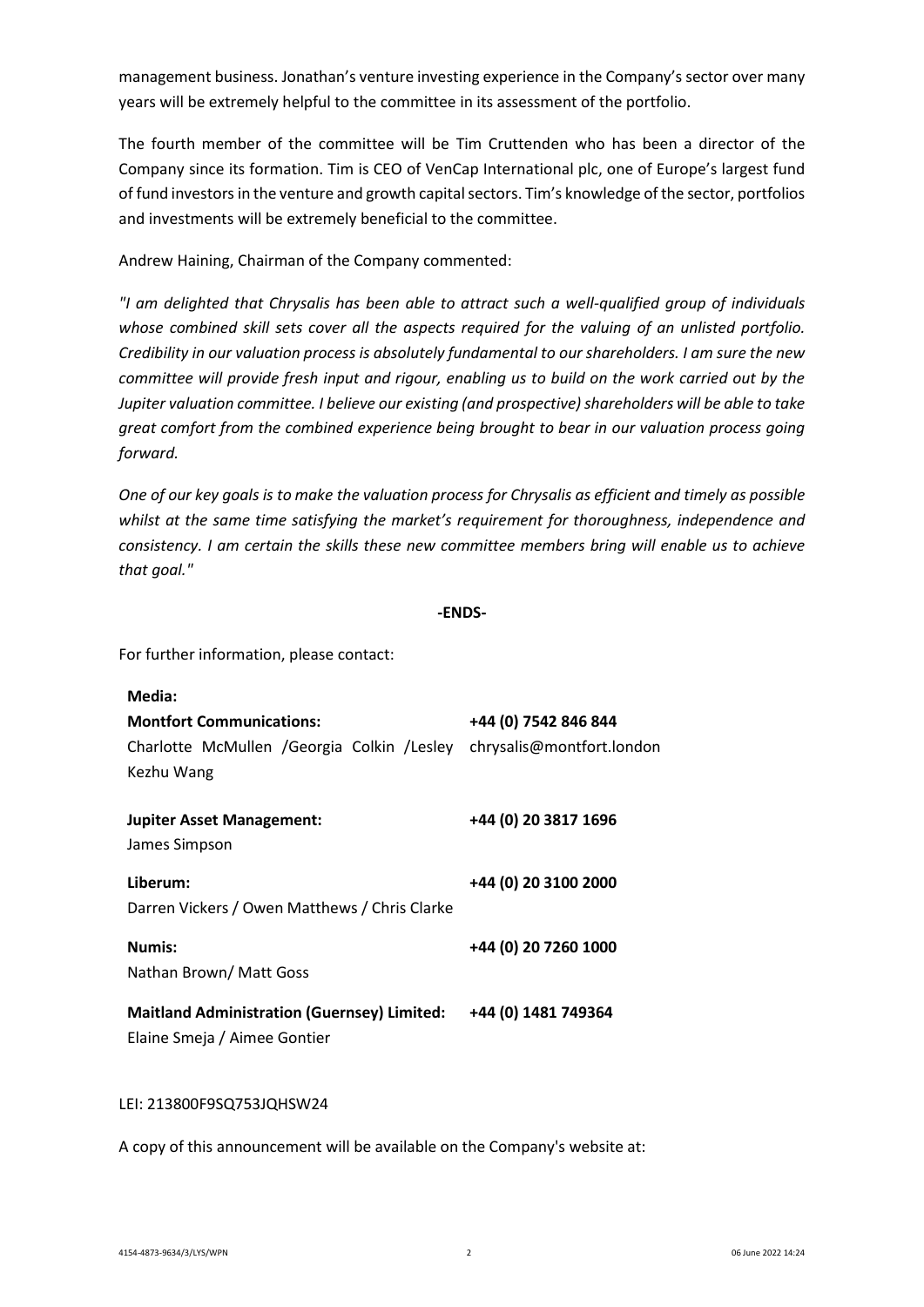management business. Jonathan's venture investing experience in the Company's sector over many years will be extremely helpful to the committee in its assessment of the portfolio.

The fourth member of the committee will be Tim Cruttenden who has been a director of the Company since its formation. Tim is CEO of VenCap International plc, one of Europe's largest fund of fund investors in the venture and growth capital sectors. Tim's knowledge of the sector, portfolios and investments will be extremely beneficial to the committee.

Andrew Haining, Chairman of the Company commented:

*"I am delighted that Chrysalis has been able to attract such a well-qualified group of individuals whose combined skill sets cover all the aspects required for the valuing of an unlisted portfolio. Credibility in our valuation process is absolutely fundamental to our shareholders. I am sure the new committee will provide fresh input and rigour, enabling us to build on the work carried out by the Jupiter valuation committee. I believe our existing (and prospective) shareholders will be able to take great comfort from the combined experience being brought to bear in our valuation process going forward.* 

*One of our key goals is to make the valuation process for Chrysalis as efficient and timely as possible whilst at the same time satisfying the market's requirement for thoroughness, independence and consistency. I am certain the skills these new committee members bring will enable us to achieve that goal."*

#### **-ENDS-**

For further information, please contact:

| Media:                                                                             |                           |
|------------------------------------------------------------------------------------|---------------------------|
| <b>Montfort Communications:</b>                                                    | +44 (0) 7542 846 844      |
| Charlotte McMullen / Georgia Colkin / Lesley<br>Kezhu Wang                         | chrysalis@montfort.london |
| <b>Jupiter Asset Management:</b><br>James Simpson                                  | +44 (0) 20 3817 1696      |
| Liberum:<br>Darren Vickers / Owen Matthews / Chris Clarke                          | +44 (0) 20 3100 2000      |
| Numis:<br>Nathan Brown/ Matt Goss                                                  | +44 (0) 20 7260 1000      |
| <b>Maitland Administration (Guernsey) Limited:</b><br>Elaine Smeja / Aimee Gontier | +44 (0) 1481 749364       |

#### LEI: 213800F9SQ753JQHSW24

A copy of this announcement will be available on the Company's website at: